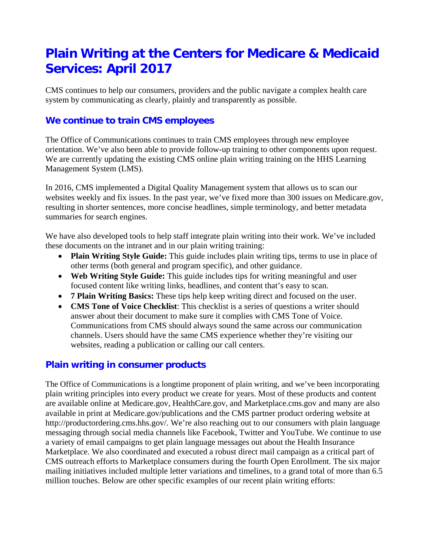# **Plain Writing at the Centers for Medicare & Medicaid Services: April 2017**

CMS continues to help our consumers, providers and the public navigate a complex health care system by communicating as clearly, plainly and transparently as possible.

## **We continue to train CMS employees**

The Office of Communications continues to train CMS employees through new employee orientation. We've also been able to provide follow-up training to other components upon request. We are currently updating the existing CMS online plain writing training on the HHS Learning Management System (LMS).

In 2016, CMS implemented a Digital Quality Management system that allows us to scan our websites weekly and fix issues. In the past year, we've fixed more than 300 issues on Medicare.gov, resulting in shorter sentences, more concise headlines, simple terminology, and better metadata summaries for search engines.

We have also developed tools to help staff integrate plain writing into their work. We've included these documents on the intranet and in our plain writing training:

- **Plain Writing Style Guide:** This guide includes plain writing tips, terms to use in place of other terms (both general and program specific), and other guidance.
- **Web Writing Style Guide:** This guide includes tips for writing meaningful and user focused content like writing links, headlines, and content that's easy to scan.
- **7 Plain Writing Basics:** These tips help keep writing direct and focused on the user.
- **CMS Tone of Voice Checklist**: This checklist is a series of questions a writer should answer about their document to make sure it complies with CMS Tone of Voice. Communications from CMS should always sound the same across our communication channels. Users should have the same CMS experience whether they're visiting our websites, reading a publication or calling our call centers.

### **Plain writing in consumer products**

The Office of Communications is a longtime proponent of plain writing, and we've been incorporating plain writing principles into every product we create for years. Most of these products and content are available online at Medicare.gov, HealthCare.gov, and Marketplace.cms.gov and many are also available in print at Medicare.gov/publications and the CMS partner product ordering website at http://productordering.cms.hhs.gov/. We're also reaching out to our consumers with plain language messaging through social media channels like Facebook, Twitter and YouTube. We continue to use a variety of email campaigns to get plain language messages out about the Health Insurance Marketplace. We also coordinated and executed a robust direct mail campaign as a critical part of CMS outreach efforts to Marketplace consumers during the fourth Open Enrollment. The six major mailing initiatives included multiple letter variations and timelines, to a grand total of more than 6.5 million touches. Below are other specific examples of our recent plain writing efforts: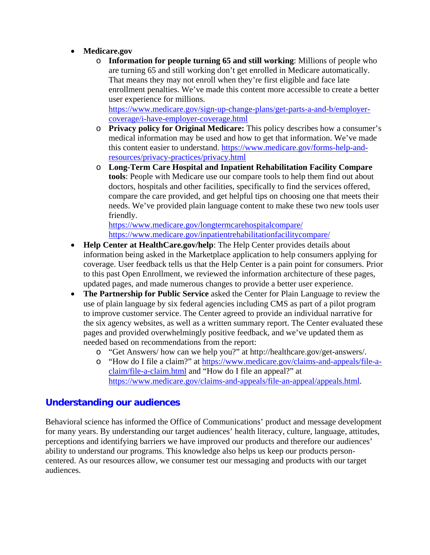- **Medicare.gov**
	- o **Information for people turning 65 and still working**: Millions of people who are turning 65 and still working don't get enrolled in Medicare automatically. That means they may not enroll when they're first eligible and face late enrollment penalties. We've made this content more accessible to create a better user experience for millions.

[https://www.medicare.gov/sign-up-change-plans/get-parts-a-and-b/employer](https://www.medicare.gov/sign-up-change-plans/get-parts-a-and-b/employer-coverage/i-have-employer-coverage.html)[coverage/i-have-employer-coverage.html](https://www.medicare.gov/sign-up-change-plans/get-parts-a-and-b/employer-coverage/i-have-employer-coverage.html)

- o **Privacy policy for Original Medicare:** This policy describes how a consumer's medical information may be used and how to get that information. We've made this content easier to understand. [https://www.medicare.gov/forms-help-and](https://www.medicare.gov/forms-help-and-resources/privacy-practices/privacy.html)[resources/privacy-practices/privacy.html](https://www.medicare.gov/forms-help-and-resources/privacy-practices/privacy.html)
- o **Long-Term Care Hospital and Inpatient Rehabilitation Facility Compare tools**: People with Medicare use our compare tools to help them find out about doctors, hospitals and other facilities, specifically to find the services offered, compare the care provided, and get helpful tips on choosing one that meets their needs. We've provided plain language content to make these two new tools user friendly.

<https://www.medicare.gov/longtermcarehospitalcompare/> <https://www.medicare.gov/inpatientrehabilitationfacilitycompare/>

- **Help Center at HealthCare.gov/help**: The Help Center provides details about information being asked in the Marketplace application to help consumers applying for coverage. User feedback tells us that the Help Center is a pain point for consumers. Prior to this past Open Enrollment, we reviewed the information architecture of these pages, updated pages, and made numerous changes to provide a better user experience.
- **The Partnership for Public Service** asked the Center for Plain Language to review the use of plain language by six federal agencies including CMS as part of a pilot program to improve customer service. The Center agreed to provide an individual narrative for the six agency websites, as well as a written summary report. The Center evaluated these pages and provided overwhelmingly positive feedback, and we've updated them as needed based on recommendations from the report:
	- o "Get Answers/ how can we help you?" at [http://healthcare.gov/get-answers/.](http://healthcare.gov/get-answers/)
	- o "How do I file a claim?" at [https://www.medicare.gov/claims-and-appeals/file-a](https://www.medicare.gov/claims-and-appeals/file-a-claim/file-a-claim.html)[claim/file-a-claim.html](https://www.medicare.gov/claims-and-appeals/file-a-claim/file-a-claim.html) and "How do I file an appeal?" at [https://www.medicare.gov/claims-and-appeals/file-an-appeal/appeals.html.](https://www.medicare.gov/claims-and-appeals/file-an-appeal/appeals.html)

### **Understanding our audiences**

Behavioral science has informed the Office of Communications' product and message development for many years. By understanding our target audiences' health literacy, culture, language, attitudes, perceptions and identifying barriers we have improved our products and therefore our audiences' ability to understand our programs. This knowledge also helps us keep our products personcentered. As our resources allow, we consumer test our messaging and products with our target audiences.